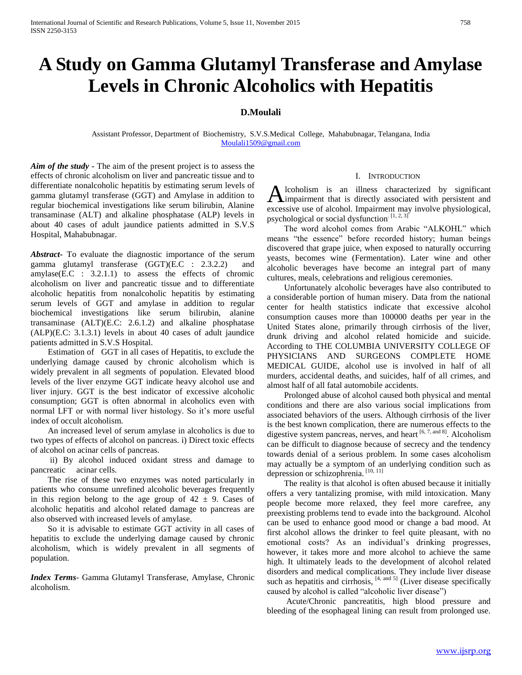# **A Study on Gamma Glutamyl Transferase and Amylase Levels in Chronic Alcoholics with Hepatitis**

# **D.Moulali**

Assistant Professor, Department of Biochemistry, S.V.S.Medical College, Mahabubnagar, Telangana, India [Moulali1509@gmail.com](mailto:Moulali1509@gmail.com)

*Aim of the study* **-** The aim of the present project is to assess the effects of chronic alcoholism on liver and pancreatic tissue and to differentiate nonalcoholic hepatitis by estimating serum levels of gamma glutamyl transferase (GGT) and Amylase in addition to regular biochemical investigations like serum bilirubin, Alanine transaminase (ALT) and alkaline phosphatase (ALP) levels in about 40 cases of adult jaundice patients admitted in S.V.S Hospital, Mahabubnagar.

*Abstract***-** To evaluate the diagnostic importance of the serum gamma glutamyl transferase (GGT)(E.C : 2.3.2.2) and amylase(E.C : 3.2.1.1) to assess the effects of chromic alcoholism on liver and pancreatic tissue and to differentiate alcoholic hepatitis from nonalcoholic hepatitis by estimating serum levels of GGT and amylase in addition to regular biochemical investigations like serum bilirubin, alanine transaminase (ALT)(E.C: 2.6.1.2) and alkaline phosphatase (ALP)(E.C: 3.1.3.1) levels in about 40 cases of adult jaundice patients admitted in S.V.S Hospital.

 Estimation of GGT in all cases of Hepatitis, to exclude the underlying damage caused by chronic alcoholism which is widely prevalent in all segments of population. Elevated blood levels of the liver enzyme GGT indicate heavy alcohol use and liver injury. GGT is the best indicator of excessive alcoholic consumption; GGT is often abnormal in alcoholics even with normal LFT or with normal liver histology. So it's more useful index of occult alcoholism.

 An increased level of serum amylase in alcoholics is due to two types of effects of alcohol on pancreas. i) Direct toxic effects of alcohol on acinar cells of pancreas.

 ii) By alcohol induced oxidant stress and damage to pancreatic acinar cells.

 The rise of these two enzymes was noted particularly in patients who consume unrefined alcoholic beverages frequently in this region belong to the age group of  $42 \pm 9$ . Cases of alcoholic hepatitis and alcohol related damage to pancreas are also observed with increased levels of amylase.

 So it is advisable to estimate GGT activity in all cases of hepatitis to exclude the underlying damage caused by chronic alcoholism, which is widely prevalent in all segments of population.

*Index Terms*- Gamma Glutamyl Transferase, Amylase, Chronic alcoholism.

#### I. INTRODUCTION

lcoholism is an illness characterized by significant Alcoholism is an illness characterized by significant impairment that is directly associated with persistent and excessive use of alcohol. Impairment may involve physiological, psychological or social dysfunction.  $[1, 2, 3]$ 

 The word alcohol comes from Arabic "ALKOHL" which means "the essence" before recorded history; human beings discovered that grape juice, when exposed to naturally occurring yeasts, becomes wine (Fermentation). Later wine and other alcoholic beverages have become an integral part of many cultures, meals, celebrations and religious ceremonies.

 Unfortunately alcoholic beverages have also contributed to a considerable portion of human misery. Data from the national center for health statistics indicate that excessive alcohol consumption causes more than 100000 deaths per year in the United States alone, primarily through cirrhosis of the liver, drunk driving and alcohol related homicide and suicide. According to THE COLUMBIA UNIVERSITY COLLEGE OF PHYSICIANS AND SURGEONS COMPLETE HOME MEDICAL GUIDE, alcohol use is involved in half of all murders, accidental deaths, and suicides, half of all crimes, and almost half of all fatal automobile accidents.

 Prolonged abuse of alcohol caused both physical and mental conditions and there are also various social implications from associated behaviors of the users. Although cirrhosis of the liver is the best known complication, there are numerous effects to the digestive system pancreas, nerves, and heart [6, 7, and 8]. Alcoholism can be difficult to diagnose because of secrecy and the tendency towards denial of a serious problem. In some cases alcoholism may actually be a symptom of an underlying condition such as depression or schizophrenia. [10, 11]

 The reality is that alcohol is often abused because it initially offers a very tantalizing promise, with mild intoxication. Many people become more relaxed, they feel more carefree, any preexisting problems tend to evade into the background. Alcohol can be used to enhance good mood or change a bad mood. At first alcohol allows the drinker to feel quite pleasant, with no emotional costs? As an individual's drinking progresses, however, it takes more and more alcohol to achieve the same high. It ultimately leads to the development of alcohol related disorders and medical complications. They include liver disease such as hepatitis and cirrhosis,  $[4, \text{ and } 5]$  (Liver disease specifically caused by alcohol is called "alcoholic liver disease")

 Acute/Chronic pancreatitis, high blood pressure and bleeding of the esophageal lining can result from prolonged use.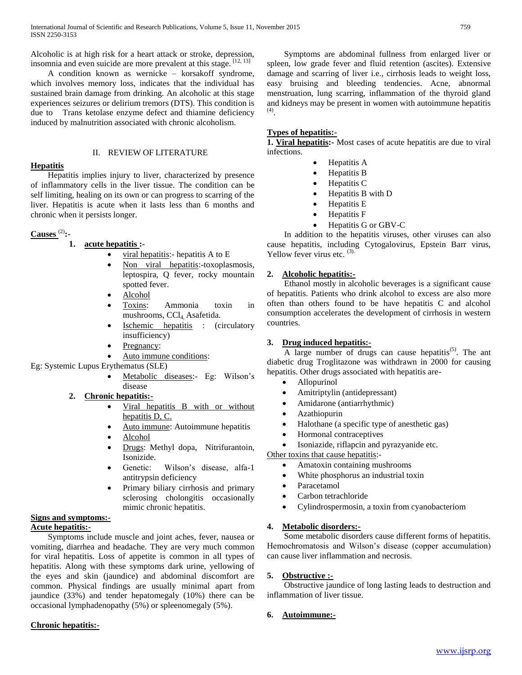Alcoholic is at high risk for a heart attack or stroke, depression, insomnia and even suicide are more prevalent at this stage.  $[12, 13]$ 

 A condition known as wernicke – korsakoff syndrome, which involves memory loss, indicates that the individual has sustained brain damage from drinking. An alcoholic at this stage experiences seizures or delirium tremors (DTS). This condition is due to Trans ketolase enzyme defect and thiamine deficiency induced by malnutrition associated with chronic alcoholism.

## II. REVIEW OF LITERATURE

# **Hepatitis**

 Hepatitis implies injury to liver, characterized by presence of inflammatory cells in the liver tissue. The condition can be self limiting, healing on its own or can progress to scarring of the liver. Hepatitis is acute when it lasts less than 6 months and chronic when it persists longer.

# **Causes** (2)**:-**

# **1. acute hepatitis :-**

- viral hepatitis:- hepatitis A to E
- Non viral hepatitis:-toxoplasmosis, leptospira, Q fever, rocky mountain spotted fever.
- Alcohol
- Toxins: Ammonia toxin in mushrooms, CCl<sub>4</sub> Asafetida.
- Ischemic hepatitis : (circulatory insufficiency)
- Pregnancy:
- Auto immune conditions:

Eg: Systemic Lupus Erythematus (SLE)

- Metabolic diseases:- Eg: Wilson's disease
- **2. Chronic hepatitis:-**
	- Viral hepatitis B with or without hepatitis D, C.
	- Auto immune: Autoimmune hepatitis
	- Alcohol
	- Drugs: Methyl dopa, Nitrifurantoin, Isonizide.
	- Genetic: Wilson's disease, alfa-1 antitrypsin deficiency
	- Primary biliary cirrhosis and primary sclerosing cholongitis occasionally mimic chronic hepatitis.

#### **Signs and symptoms:- Acute hepatitis:-**

 Symptoms include muscle and joint aches, fever, nausea or vomiting, diarrhea and headache. They are very much common for viral hepatitis. Loss of appetite is common in all types of hepatitis. Along with these symptoms dark urine, yellowing of the eyes and skin (jaundice) and abdominal discomfort are common. Physical findings are usually minimal apart from jaundice (33%) and tender hepatomegaly (10%) there can be occasional lymphadenopathy (5%) or spleenomegaly (5%).

# **Chronic hepatitis:-**

 Symptoms are abdominal fullness from enlarged liver or spleen, low grade fever and fluid retention (ascites). Extensive damage and scarring of liver i.e., cirrhosis leads to weight loss, easy bruising and bleeding tendencies. Acne, abnormal menstruation, lung scarring, inflammation of the thyroid gland and kidneys may be present in women with autoimmune hepatitis (4) .

# **Types of hepatitis:-**

**1. Viral hepatitis:-** Most cases of acute hepatitis are due to viral infections.

- Hepatitis A
	- Hepatitis B
- Hepatitis C
- Hepatitis B with D
- Hepatitis E
- Hepatitis F
- Hepatitis G or GBV-C

 In addition to the hepatitis viruses, other viruses can also cause hepatitis, including Cytogalovirus, Epstein Barr virus, Yellow fever virus etc.  $(3)$ .

# **2. Alcoholic hepatitis:-**

 Ethanol mostly in alcoholic beverages is a significant cause of hepatitis. Patients who drink alcohol to excess are also more often than others found to be have hepatitis C and alcohol consumption accelerates the development of cirrhosis in western countries.

# **3. Drug induced hepatitis:-**

A large number of drugs can cause hepatitis<sup> $(5)$ </sup>. The ant diabetic drug Troglitazone was withdrawn in 2000 for causing hepatitis. Other drugs associated with hepatitis are-

- Allopurinol
- Amitriptylin (antidepressant)
- Amidarone (antiarrhythmic)
- Azathiopurin
- Halothane (a specific type of anesthetic gas)
- Hormonal contraceptives
- Isoniazide, riflapcin and pyrazyanide etc.

Other toxins that cause hepatitis:-

- Amatoxin containing mushrooms
- White phosphorus an industrial toxin
- Paracetamol
- Carbon tetrachloride
- Cylindrospermosin, a toxin from cyanobacteriom

#### **4. Metabolic disorders:-**

 Some metabolic disorders cause different forms of hepatitis. Hemochromatosis and Wilson's disease (copper accumulation) can cause liver inflammation and necrosis.

#### **5. Obstructive :-**

 Obstructive jaundice of long lasting leads to destruction and inflammation of liver tissue.

#### **6. Autoimmune:-**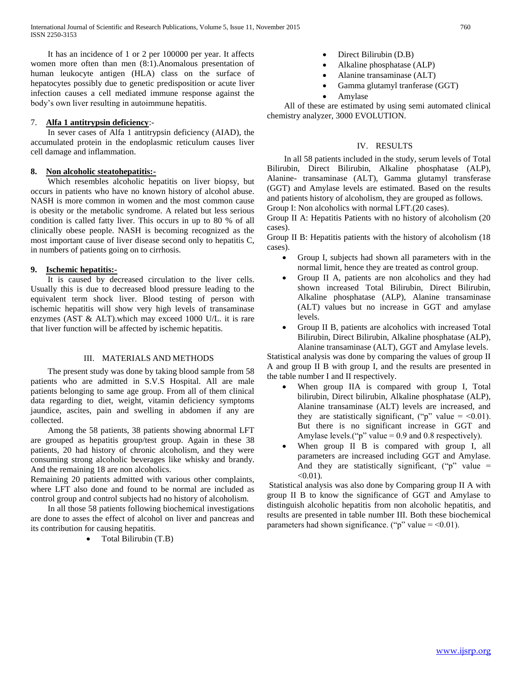It has an incidence of 1 or 2 per 100000 per year. It affects women more often than men (8:1).Anomalous presentation of human leukocyte antigen (HLA) class on the surface of hepatocytes possibly due to genetic predisposition or acute liver infection causes a cell mediated immune response against the body's own liver resulting in autoimmune hepatitis.

## 7. **Alfa 1 antitrypsin deficiency**:-

 In sever cases of Alfa 1 antitrypsin deficiency (AIAD), the accumulated protein in the endoplasmic reticulum causes liver cell damage and inflammation.

# **8. Non alcoholic steatohepatitis:-**

 Which resembles alcoholic hepatitis on liver biopsy, but occurs in patients who have no known history of alcohol abuse. NASH is more common in women and the most common cause is obesity or the metabolic syndrome. A related but less serious condition is called fatty liver. This occurs in up to 80 % of all clinically obese people. NASH is becoming recognized as the most important cause of liver disease second only to hepatitis C, in numbers of patients going on to cirrhosis.

# **9. Ischemic hepatitis:-**

 It is caused by decreased circulation to the liver cells. Usually this is due to decreased blood pressure leading to the equivalent term shock liver. Blood testing of person with ischemic hepatitis will show very high levels of transaminase enzymes (AST & ALT).which may exceed 1000 U/L. it is rare that liver function will be affected by ischemic hepatitis.

# III. MATERIALS AND METHODS

 The present study was done by taking blood sample from 58 patients who are admitted in S.V.S Hospital. All are male patients belonging to same age group. From all of them clinical data regarding to diet, weight, vitamin deficiency symptoms jaundice, ascites, pain and swelling in abdomen if any are collected.

 Among the 58 patients, 38 patients showing abnormal LFT are grouped as hepatitis group/test group. Again in these 38 patients, 20 had history of chronic alcoholism, and they were consuming strong alcoholic beverages like whisky and brandy. And the remaining 18 are non alcoholics.

Remaining 20 patients admitted with various other complaints, where LFT also done and found to be normal are included as control group and control subjects had no history of alcoholism.

 In all those 58 patients following biochemical investigations are done to asses the effect of alcohol on liver and pancreas and its contribution for causing hepatitis.

Total Bilirubin (T.B)

- Direct Bilirubin (D.B)
- Alkaline phosphatase (ALP)
- Alanine transaminase (ALT)
- Gamma glutamyl tranferase (GGT)
- Amylase

 All of these are estimated by using semi automated clinical chemistry analyzer, 3000 EVOLUTION.

# IV. RESULTS

 In all 58 patients included in the study, serum levels of Total Bilirubin, Direct Bilirubin, Alkaline phosphatase (ALP), Alanine- transaminase (ALT), Gamma glutamyl transferase (GGT) and Amylase levels are estimated. Based on the results and patients history of alcoholism, they are grouped as follows. Group I: Non alcoholics with normal LFT.(20 cases).

Group II A: Hepatitis Patients with no history of alcoholism (20 cases).

Group II B: Hepatitis patients with the history of alcoholism (18 cases).

- Group I, subjects had shown all parameters with in the normal limit, hence they are treated as control group.
- Group II A, patients are non alcoholics and they had shown increased Total Bilirubin, Direct Bilirubin, Alkaline phosphatase (ALP), Alanine transaminase (ALT) values but no increase in GGT and amylase levels.
- Group II B, patients are alcoholics with increased Total Bilirubin, Direct Bilirubin, Alkaline phosphatase (ALP), Alanine transaminase (ALT), GGT and Amylase levels.

Statistical analysis was done by comparing the values of group II A and group II B with group I, and the results are presented in the table number I and II respectively.

- When group IIA is compared with group I, Total bilirubin, Direct bilirubin, Alkaline phosphatase (ALP), Alanine transaminase (ALT) levels are increased, and they are statistically significant, ("p" value  $=$  <0.01). But there is no significant increase in GGT and Amylase levels.(" $p$ " value = 0.9 and 0.8 respectively).
- When group II B is compared with group I, all parameters are increased including GGT and Amylase. And they are statistically significant,  $("p" value =$  $< 0.01$ ).

Statistical analysis was also done by Comparing group II A with group II B to know the significance of GGT and Amylase to distinguish alcoholic hepatitis from non alcoholic hepatitis, and results are presented in table number III. Both these biochemical parameters had shown significance. (" $p$ " value = <0.01).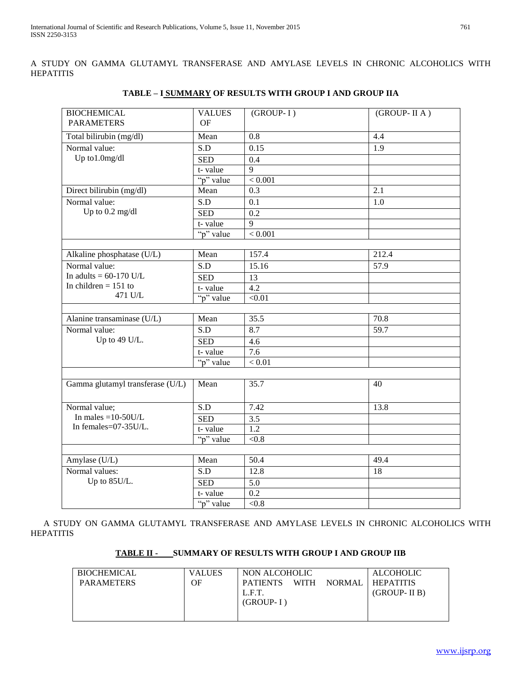A STUDY ON GAMMA GLUTAMYL TRANSFERASE AND AMYLASE LEVELS IN CHRONIC ALCOHOLICS WITH HEPATITIS

| <b>BIOCHEMICAL</b><br><b>PARAMETERS</b> | <b>VALUES</b><br><b>OF</b> | (GROUP-I)        | (GROUP- II A)     |
|-----------------------------------------|----------------------------|------------------|-------------------|
|                                         |                            |                  |                   |
| Total bilirubin (mg/dl)                 | Mean                       | 0.8              | 4.4               |
| Normal value:                           | S.D                        | 0.15             | 1.9               |
| Up to1.0mg/dl                           | <b>SED</b>                 | 0.4              |                   |
|                                         | t-value                    | $\overline{q}$   |                   |
|                                         | "p" value                  | < 0.001          |                   |
| Direct bilirubin (mg/dl)                | Mean                       | 0.3              | 2.1               |
| Normal value:                           | S.D                        | 0.1              | 1.0               |
| Up to 0.2 mg/dl                         | <b>SED</b>                 | 0.2              |                   |
|                                         | t-value                    | $\mathbf Q$      |                   |
|                                         | "p" value                  | < 0.001          |                   |
|                                         |                            |                  |                   |
| Alkaline phosphatase (U/L)              | Mean                       | 157.4            | 212.4             |
| Normal value:                           | S.D                        | 15.16            | $\overline{57.9}$ |
| In adults = $60-170$ U/L                | <b>SED</b>                 | $\overline{13}$  |                   |
| In children $= 151$ to                  | t-value                    | $\overline{4.2}$ |                   |
| 471 U/L                                 | "p" value                  | < 0.01           |                   |
|                                         |                            |                  |                   |
| Alanine transaminase (U/L)              | Mean                       | 35.5             | 70.8              |
| Normal value:                           | S.D                        | 8.7              | 59.7              |
| Up to 49 U/L.                           | <b>SED</b>                 | 4.6              |                   |
|                                         | t-value                    | 7.6              |                   |
|                                         | "p" value                  | < 0.01           |                   |
|                                         |                            |                  |                   |
| Gamma glutamyl transferase (U/L)        | Mean                       | 35.7             | 40                |
|                                         |                            |                  |                   |
| Normal value;                           | $\overline{SD}$            | 7.42             | 13.8              |
| In males = $10-50U/L$                   | <b>SED</b>                 | 3.5              |                   |
| In females=07-35U/L.                    | t-value                    | $\overline{1.2}$ |                   |
|                                         | "p" value                  | < 0.8            |                   |
|                                         |                            |                  |                   |
| Amylase (U/L)                           | Mean                       | 50.4             | 49.4              |
| Normal values:                          | S.D                        | 12.8             | 18                |
| Up to 85U/L.                            | <b>SED</b>                 | $\overline{5.0}$ |                   |
|                                         | t-value                    | $\overline{0.2}$ |                   |
|                                         | "p" value                  | $<\!\!0.8$       |                   |

# **TABLE – I SUMMARY OF RESULTS WITH GROUP I AND GROUP IIA**

 A STUDY ON GAMMA GLUTAMYL TRANSFERASE AND AMYLASE LEVELS IN CHRONIC ALCOHOLICS WITH HEPATITIS

# **TABLE II - SUMMARY OF RESULTS WITH GROUP I AND GROUP IIB**

| <b>BIOCHEMICAL</b> | <b>VALUES</b> | NON ALCOHOLIC                  |        | <b>ALCOHOLIC</b> |
|--------------------|---------------|--------------------------------|--------|------------------|
| <b>PARAMETERS</b>  | OF            | <b>WITH</b><br><b>PATIENTS</b> | NORMAL | <b>HEPATITIS</b> |
|                    |               | L.F.T.                         |        | $(GROUP-HB)$     |
|                    |               | $(GROUP-I)$                    |        |                  |
|                    |               |                                |        |                  |
|                    |               |                                |        |                  |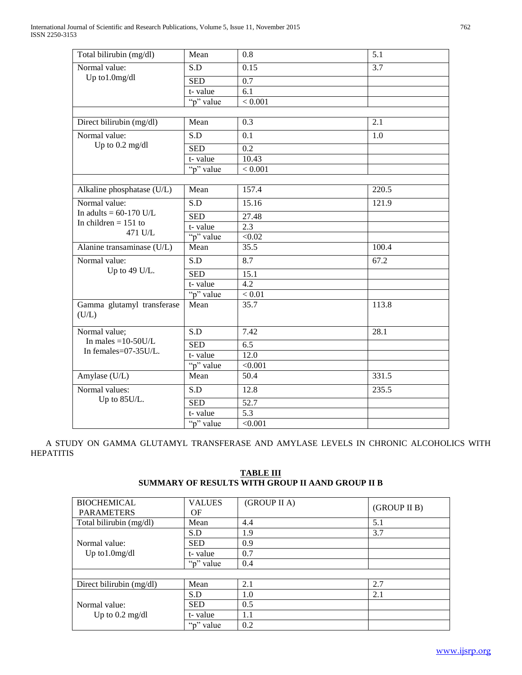| Total bilirubin (mg/dl)                                        | Mean             | 0.8               | 5.1   |
|----------------------------------------------------------------|------------------|-------------------|-------|
| Normal value:<br>Up to1.0mg/dl                                 | S.D              | 0.15              | 3.7   |
|                                                                | <b>SED</b>       | 0.7               |       |
|                                                                | t-value          | 6.1               |       |
|                                                                | "p" value        | < 0.001           |       |
|                                                                |                  |                   |       |
| Direct bilirubin (mg/dl)                                       | Mean             | 0.3               | 2.1   |
| Normal value:                                                  | S.D              | 0.1               | 1.0   |
| Up to 0.2 mg/dl                                                | <b>SED</b>       | 0.2               |       |
|                                                                | t-value          | 10.43             |       |
|                                                                | "p" value        | < 0.001           |       |
|                                                                |                  |                   |       |
| Alkaline phosphatase (U/L)                                     | Mean             | 157.4             | 220.5 |
| Normal value:                                                  | $\overline{S.D}$ | 15.16             | 121.9 |
| In adults = $60-170$ U/L                                       | <b>SED</b>       | 27.48             |       |
| In children $= 151$ to                                         | t-value          | 2.3               |       |
| 471 U/L                                                        | "p" value        | < 0.02            |       |
| Alanine transaminase (U/L)                                     | Mean             | 35.5              | 100.4 |
| Normal value:                                                  | S.D              | 8.7               | 67.2  |
| Up to 49 U/L.                                                  | <b>SED</b>       | 15.1              |       |
|                                                                | t-value          | 4.2               |       |
|                                                                | "p" value        | < 0.01            |       |
| Gamma glutamyl transferase<br>(U/L)                            | Mean             | 35.7              | 113.8 |
| Normal value;<br>In males $=10-50$ U/L<br>In females=07-35U/L. | $\overline{S.D}$ | 7.42              | 28.1  |
|                                                                | <b>SED</b>       | 6.5               |       |
|                                                                | t-value          | 12.0              |       |
|                                                                | "p" value        | < 0.001           |       |
| Amylase (U/L)                                                  | Mean             | $\overline{50.4}$ | 331.5 |
| Normal values:<br>Up to 85U/L.                                 | S.D              | 12.8              | 235.5 |
|                                                                | <b>SED</b>       | 52.7              |       |
|                                                                | t-value          | $\overline{5.3}$  |       |
|                                                                | "p" value        | < 0.001           |       |

 A STUDY ON GAMMA GLUTAMYL TRANSFERASE AND AMYLASE LEVELS IN CHRONIC ALCOHOLICS WITH HEPATITIS

| <b>BIOCHEMICAL</b>                         | <b>VALUES</b> | (GROUP II A) |              |
|--------------------------------------------|---------------|--------------|--------------|
| <b>PARAMETERS</b>                          | OF            |              | (GROUP II B) |
| Total bilirubin (mg/dl)                    | Mean          | 4.4          | 5.1          |
|                                            | S.D           | 1.9          | 3.7          |
| Normal value:                              | <b>SED</b>    | 0.9          |              |
| Up to $1.0$ mg/dl                          | t-value       | 0.7          |              |
|                                            | "p" value     | 0.4          |              |
|                                            |               |              |              |
| Direct bilirubin (mg/dl)                   | Mean          | 2.1          | 2.7          |
|                                            | S.D           | 1.0          | 2.1          |
| Normal value:<br>Up to $0.2 \text{ mg/dl}$ | <b>SED</b>    | 0.5          |              |
|                                            | t-value       | 1.1          |              |
|                                            | "p" value     | 0.2          |              |

# **TABLE III SUMMARY OF RESULTS WITH GROUP II AAND GROUP II B**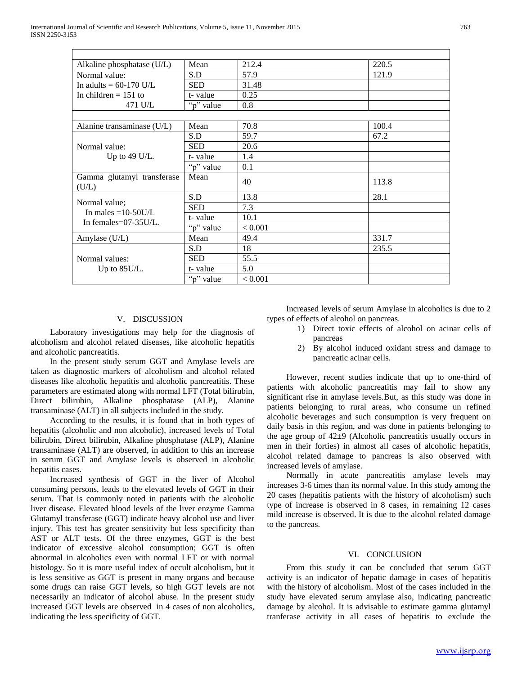| Alkaline phosphatase $(U/L)$                                        | Mean       | 212.4   | 220.5 |
|---------------------------------------------------------------------|------------|---------|-------|
| Normal value:                                                       | S.D        | 57.9    | 121.9 |
| In adults = $60-170$ U/L                                            | <b>SED</b> | 31.48   |       |
| In children $= 151$ to                                              | t-value    | 0.25    |       |
| 471 U/L                                                             | "p" value  | 0.8     |       |
|                                                                     |            |         |       |
| Alanine transaminase (U/L)                                          | Mean       | 70.8    | 100.4 |
|                                                                     | S.D        | 59.7    | 67.2  |
| Normal value:                                                       | <b>SED</b> | 20.6    |       |
| Up to 49 U/L.                                                       | t-value    | 1.4     |       |
|                                                                     | "p" value  | 0.1     |       |
| Gamma glutamyl transferase<br>(U/L)                                 | Mean       | 40      | 113.8 |
| Normal value;<br>In males = $10-50$ U/L<br>In females= $07-35U/L$ . | S.D        | 13.8    | 28.1  |
|                                                                     | <b>SED</b> | 7.3     |       |
|                                                                     | t-value    | 10.1    |       |
|                                                                     | "p" value  | < 0.001 |       |
| Amylase (U/L)                                                       | Mean       | 49.4    | 331.7 |
| Normal values:<br>Up to $85$ U/L.                                   | S.D        | 18      | 235.5 |
|                                                                     | SED        | 55.5    |       |
|                                                                     | t-value    | 5.0     |       |
|                                                                     | "p" value  | < 0.001 |       |

#### V. DISCUSSION

 Laboratory investigations may help for the diagnosis of alcoholism and alcohol related diseases, like alcoholic hepatitis and alcoholic pancreatitis.

 In the present study serum GGT and Amylase levels are taken as diagnostic markers of alcoholism and alcohol related diseases like alcoholic hepatitis and alcoholic pancreatitis. These parameters are estimated along with normal LFT (Total bilirubin, Direct bilirubin, Alkaline phosphatase (ALP), Alanine transaminase (ALT) in all subjects included in the study.

 According to the results, it is found that in both types of hepatitis (alcoholic and non alcoholic), increased levels of Total bilirubin, Direct bilirubin, Alkaline phosphatase (ALP), Alanine transaminase (ALT) are observed, in addition to this an increase in serum GGT and Amylase levels is observed in alcoholic hepatitis cases.

 Increased synthesis of GGT in the liver of Alcohol consuming persons, leads to the elevated levels of GGT in their serum. That is commonly noted in patients with the alcoholic liver disease. Elevated blood levels of the liver enzyme Gamma Glutamyl transferase (GGT) indicate heavy alcohol use and liver injury. This test has greater sensitivity but less specificity than AST or ALT tests. Of the three enzymes, GGT is the best indicator of excessive alcohol consumption; GGT is often abnormal in alcoholics even with normal LFT or with normal histology. So it is more useful index of occult alcoholism, but it is less sensitive as GGT is present in many organs and because some drugs can raise GGT levels, so high GGT levels are not necessarily an indicator of alcohol abuse. In the present study increased GGT levels are observed in 4 cases of non alcoholics, indicating the less specificity of GGT.

 Increased levels of serum Amylase in alcoholics is due to 2 types of effects of alcohol on pancreas.

- 1) Direct toxic effects of alcohol on acinar cells of pancreas
- 2) By alcohol induced oxidant stress and damage to pancreatic acinar cells.

 However, recent studies indicate that up to one-third of patients with alcoholic pancreatitis may fail to show any significant rise in amylase levels.But, as this study was done in patients belonging to rural areas, who consume un refined alcoholic beverages and such consumption is very frequent on daily basis in this region, and was done in patients belonging to the age group of  $42\pm9$  (Alcoholic pancreatitis usually occurs in men in their forties) in almost all cases of alcoholic hepatitis, alcohol related damage to pancreas is also observed with increased levels of amylase.

 Normally in acute pancreatitis amylase levels may increases 3-6 times than its normal value. In this study among the 20 cases (hepatitis patients with the history of alcoholism) such type of increase is observed in 8 cases, in remaining 12 cases mild increase is observed. It is due to the alcohol related damage to the pancreas.

#### VI. CONCLUSION

 From this study it can be concluded that serum GGT activity is an indicator of hepatic damage in cases of hepatitis with the history of alcoholism. Most of the cases included in the study have elevated serum amylase also, indicating pancreatic damage by alcohol. It is advisable to estimate gamma glutamyl tranferase activity in all cases of hepatitis to exclude the